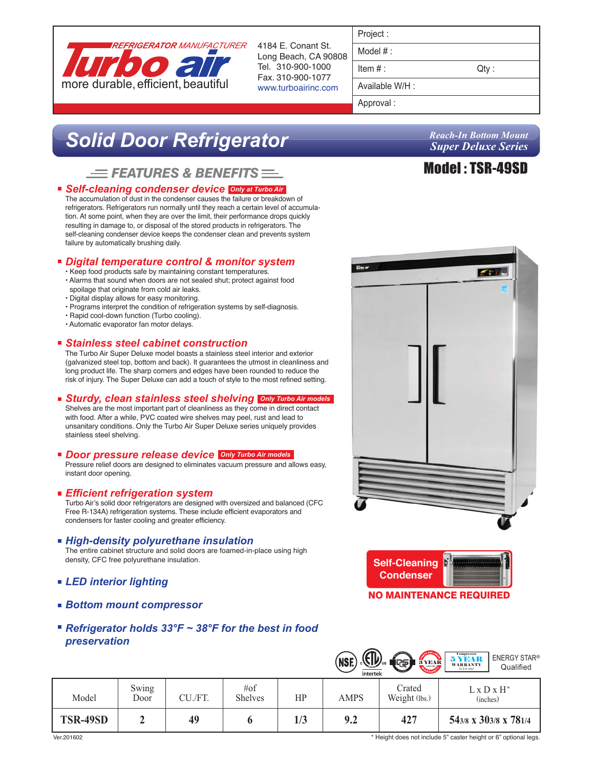

4184 E. Conant St. Long Beach, CA 90808 Tel. 310-900-1000 Fax. 310-900-1077 www.turboairinc.com

| Project |  |
|---------|--|
|         |  |

Model # :

 $Item #:$  Qty :

Available W/H :

Approval :

# *Solid Door Refrigerator*

## $\equiv$  Features & Benefits  $\equiv$

#### *Self-cleaning condenser device Only at Turbo Air*

The accumulation of dust in the condenser causes the failure or breakdown of refrigerators. Refrigerators run normally until they reach a certain level of accumulation. At some point, when they are over the limit, their performance drops quickly resulting in damage to, or disposal of the stored products in refrigerators. The self-cleaning condenser device keeps the condenser clean and prevents system failure by automatically brushing daily.

### *Digital temperature control & monitor system*

- Keep food products safe by maintaining constant temperatures.
- Alarms that sound when doors are not sealed shut; protect against food spoilage that originate from cold air leaks.
- Digital display allows for easy monitoring.
- Programs interpret the condition of refrigeration systems by self-diagnosis.
- Rapid cool-down function (Turbo cooling).
- Automatic evaporator fan motor delays.

#### *Stainless steel cabinet construction*

The Turbo Air Super Deluxe model boasts a stainless steel interior and exterior (galvanized steel top, bottom and back). It guarantees the utmost in cleanliness and long product life. The sharp corners and edges have been rounded to reduce the risk of injury. The Super Deluxe can add a touch of style to the most refined setting.

## *Sturdy, clean stainless steel shelving Only Turbo Air models*

Shelves are the most important part of cleanliness as they come in direct contact with food. After a while, PVC coated wire shelves may peel, rust and lead to unsanitary conditions. Only the Turbo Air Super Deluxe series uniquely provides stainless steel shelving.

#### *Door pressure release device Only Turbo Air models*

Pressure relief doors are designed to eliminates vacuum pressure and allows easy, instant door opening.

#### *Efficient refrigeration system*

Turbo Air's solid door refrigerators are designed with oversized and balanced (CFC Free R-134A) refrigeration systems. These include efficient evaporators and condensers for faster cooling and greater efficiency.

#### *High-density polyurethane insulation*

The entire cabinet structure and solid doors are foamed-in-place using high density, CFC free polyurethane insulation.

- *LED interior lighting*
- *Bottom mount compressor*

### *Refrigerator holds 33°F ~ 38°F for the best in food preservation*

*Reach-In Bottom Mount Super Deluxe Series*

# Model : TSR-49SD





|          |               |         |                       |     | (ETL)<br><b>NSE</b><br>Intertek | <b>EXPLANTED</b>        | <b>S</b> YBAR<br><b>ENERGY STAR®</b><br><b>WARRANTY</b><br>Qualified<br>(U.S.A only) |
|----------|---------------|---------|-----------------------|-----|---------------------------------|-------------------------|--------------------------------------------------------------------------------------|
| Model    | Swing<br>Door | CU./FT. | #of<br><b>Shelves</b> | HP  | <b>AMPS</b>                     | Crated<br>Weight (lbs.) | $L \times D \times H^*$<br>(inches)                                                  |
| TSR-49SD |               | 49      |                       | 1/3 | 9.2                             | 427                     | 543/8 x 303/8 x 781/4                                                                |

\* Height does not include 5" caster height or 6" optional legs.